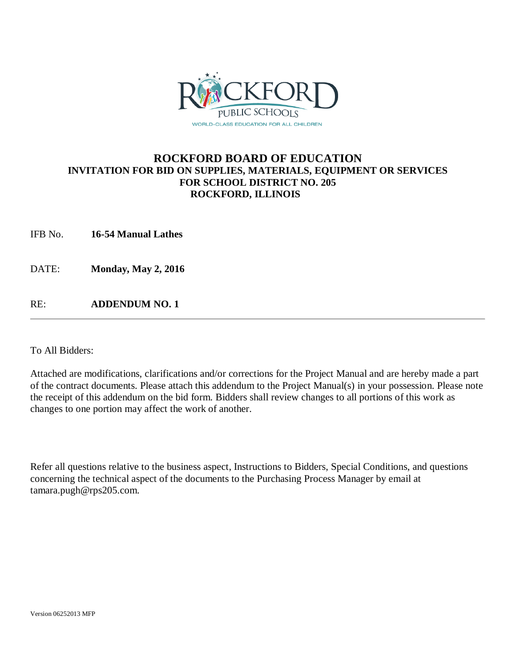

## **ROCKFORD BOARD OF EDUCATION INVITATION FOR BID ON SUPPLIES, MATERIALS, EQUIPMENT OR SERVICES FOR SCHOOL DISTRICT NO. 205 ROCKFORD, ILLINOIS**

IFB No. **16-54 Manual Lathes**

DATE: **Monday, May 2, 2016**

RE: **ADDENDUM NO. 1**

To All Bidders:

Attached are modifications, clarifications and/or corrections for the Project Manual and are hereby made a part of the contract documents. Please attach this addendum to the Project Manual(s) in your possession. Please note the receipt of this addendum on the bid form. Bidders shall review changes to all portions of this work as changes to one portion may affect the work of another.

Refer all questions relative to the business aspect, Instructions to Bidders, Special Conditions, and questions concerning the technical aspect of the documents to the Purchasing Process Manager by email at tamara.pugh@rps205.com.